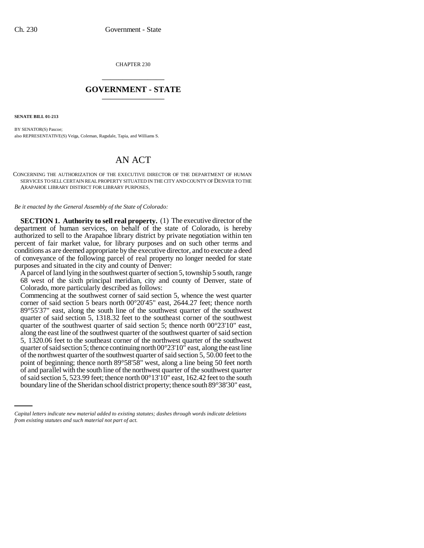CHAPTER 230 \_\_\_\_\_\_\_\_\_\_\_\_\_\_\_

## **GOVERNMENT - STATE** \_\_\_\_\_\_\_\_\_\_\_\_\_\_\_

**SENATE BILL 01-213**

BY SENATOR(S) Pascoe; also REPRESENTATIVE(S) Veiga, Coleman, Ragsdale, Tapia, and Williams S.

## AN ACT

CONCERNING THE AUTHORIZATION OF THE EXECUTIVE DIRECTOR OF THE DEPARTMENT OF HUMAN SERVICES TO SELL CERTAIN REAL PROPERTY SITUATED IN THE CITY AND COUNTY OF DENVER TO THE ARAPAHOE LIBRARY DISTRICT FOR LIBRARY PURPOSES.

*Be it enacted by the General Assembly of the State of Colorado:*

**SECTION 1. Authority to sell real property.** (1) The executive director of the department of human services, on behalf of the state of Colorado, is hereby authorized to sell to the Arapahoe library district by private negotiation within ten percent of fair market value, for library purposes and on such other terms and conditions as are deemed appropriate by the executive director, and to execute a deed of conveyance of the following parcel of real property no longer needed for state purposes and situated in the city and county of Denver:

A parcel of land lying in the southwest quarter of section 5, township 5 south, range 68 west of the sixth principal meridian, city and county of Denver, state of Colorado, more particularly described as follows:

of and parallel with the south line of the northwest quarter of the southwest quarter Commencing at the southwest corner of said section 5, whence the west quarter corner of said section 5 bears north 00°20'45" east, 2644.27 feet; thence north 89°55'37" east, along the south line of the southwest quarter of the southwest quarter of said section 5, 1318.32 feet to the southeast corner of the southwest quarter of the southwest quarter of said section 5; thence north 00°23'10" east, along the east line of the southwest quarter of the southwest quarter of said section 5, 1320.06 feet to the southeast corner of the northwest quarter of the southwest quarter of said section 5; thence continuing north  $00^{\circ}23'10''$  east, along the east line of the northwest quarter of the southwest quarter of said section 5, 50.00 feet to the point of beginning; thence north 89°58'58" west, along a line being 50 feet north of said section 5, 523.99 feet; thence north 00°13'10" east, 162.42 feet to the south boundary line of the Sheridan school district property; thence south 89°38'30" east,

*Capital letters indicate new material added to existing statutes; dashes through words indicate deletions from existing statutes and such material not part of act.*